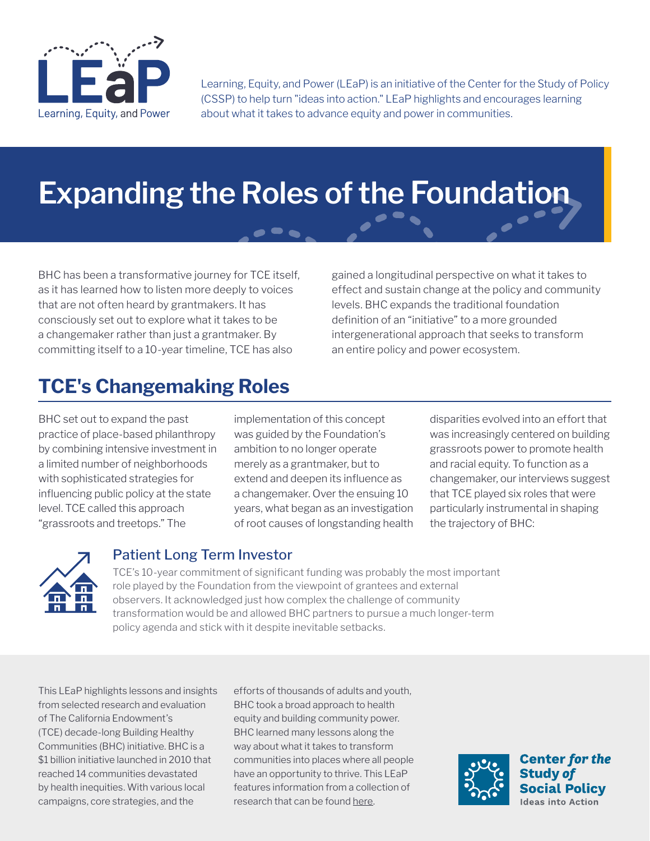

Learning, Equity, and Power (LEaP) is an initiative of the Center for the Study of Policy (CSSP) to help turn "ideas into action." LEaP highlights and encourages learning about what it takes to advance equity and power in communities.

# **Expanding the Roles of the Foundation**

BHC has been a transformative journey for TCE itself, as it has learned how to listen more deeply to voices that are not often heard by grantmakers. It has consciously set out to explore what it takes to be a changemaker rather than just a grantmaker. By committing itself to a 10-year timeline, TCE has also

gained a longitudinal perspective on what it takes to effect and sustain change at the policy and community levels. BHC expands the traditional foundation definition of an "initiative" to a more grounded intergenerational approach that seeks to transform an entire policy and power ecosystem.

# **TCE's Changemaking Roles**

BHC set out to expand the past practice of place-based philanthropy by combining intensive investment in a limited number of neighborhoods with sophisticated strategies for influencing public policy at the state level. TCE called this approach "grassroots and treetops." The

implementation of this concept was guided by the Foundation's ambition to no longer operate merely as a grantmaker, but to extend and deepen its influence as a changemaker. Over the ensuing 10 years, what began as an investigation of root causes of longstanding health

disparities evolved into an effort that was increasingly centered on building grassroots power to promote health and racial equity. To function as a changemaker, our interviews suggest that TCE played six roles that were particularly instrumental in shaping the trajectory of BHC:



# Patient Long Term Investor

TCE's 10-year commitment of significant funding was probably the most important role played by the Foundation from the viewpoint of grantees and external observers. It acknowledged just how complex the challenge of community transformation would be and allowed BHC partners to pursue a much longer-term policy agenda and stick with it despite inevitable setbacks.

This LEaP highlights lessons and insights from selected research and evaluation of The California Endowment's (TCE) decade-long Building Healthy Communities (BHC) initiative. BHC is a \$1 billion initiative launched in 2010 that reached 14 communities devastated by health inequities. With various local campaigns, core strategies, and the

efforts of thousands of adults and youth, BHC took a broad approach to health equity and building community power. BHC learned many lessons along the way about what it takes to transform communities into places where all people have an opportunity to thrive. This LEaP features information from a collection of research that can be found [here.](https://www.calendow.org/learning-and-engagement/)

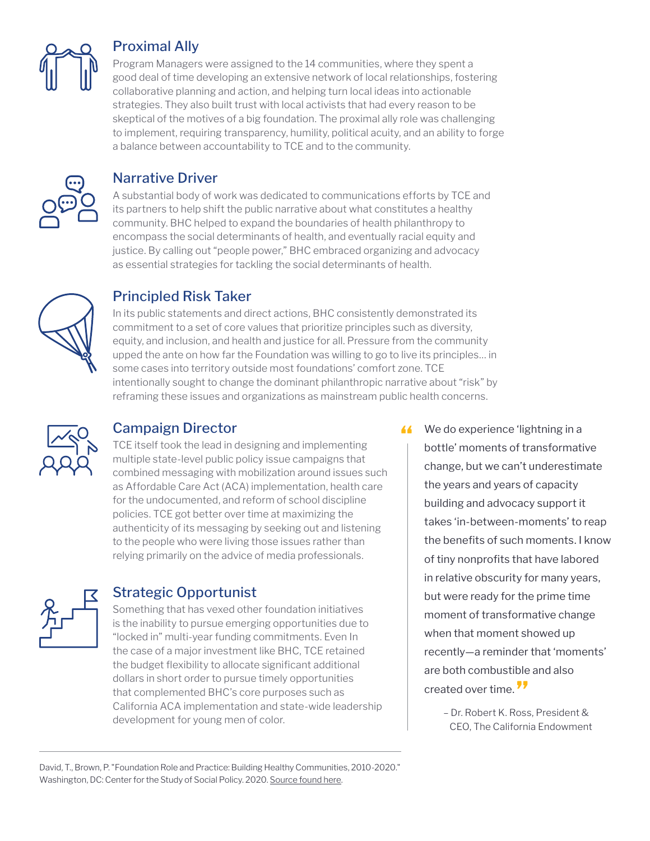

#### Proximal Ally

Program Managers were assigned to the 14 communities, where they spent a good deal of time developing an extensive network of local relationships, fostering collaborative planning and action, and helping turn local ideas into actionable strategies. They also built trust with local activists that had every reason to be skeptical of the motives of a big foundation. The proximal ally role was challenging to implement, requiring transparency, humility, political acuity, and an ability to forge a balance between accountability to TCE and to the community.



#### Narrative Driver

A substantial body of work was dedicated to communications efforts by TCE and its partners to help shift the public narrative about what constitutes a healthy community. BHC helped to expand the boundaries of health philanthropy to encompass the social determinants of health, and eventually racial equity and justice. By calling out "people power," BHC embraced organizing and advocacy as essential strategies for tackling the social determinants of health.



# Principled Risk Taker

In its public statements and direct actions, BHC consistently demonstrated its commitment to a set of core values that prioritize principles such as diversity, equity, and inclusion, and health and justice for all. Pressure from the community upped the ante on how far the Foundation was willing to go to live its principles… in some cases into territory outside most foundations' comfort zone. TCE intentionally sought to change the dominant philanthropic narrative about "risk" by reframing these issues and organizations as mainstream public health concerns.



#### Campaign Director

TCE itself took the lead in designing and implementing multiple state-level public policy issue campaigns that combined messaging with mobilization around issues such as Affordable Care Act (ACA) implementation, health care for the undocumented, and reform of school discipline policies. TCE got better over time at maximizing the authenticity of its messaging by seeking out and listening to the people who were living those issues rather than relying primarily on the advice of media professionals.



#### Strategic Opportunist

Something that has vexed other foundation initiatives is the inability to pursue emerging opportunities due to "locked in" multi-year funding commitments. Even In the case of a major investment like BHC, TCE retained the budget flexibility to allocate significant additional dollars in short order to pursue timely opportunities that complemented BHC's core purposes such as California ACA implementation and state-wide leadership development for young men of color.

K We do experience 'lightning in a<br>bottle' mements of transformation bottle' moments of transformative change, but we can't underestimate the years and years of capacity building and advocacy support it takes 'in-between-moments' to reap the benefits of such moments. I know of tiny nonprofits that have labored in relative obscurity for many years, but were ready for the prime time moment of transformative change when that moment showed up recently—a reminder that 'moments' are both combustible and also created over time.<sup>77</sup>

> – Dr. Robert K. Ross, President & CEO, The California Endowment

David, T., Brown, P. "Foundation Role and Practice: Building Healthy Communities, 2010-2020." Washington, DC: Center for the Study of Social Policy. 2020. [Source found here.](https://www.calendow.org/app/uploads/2021/09/Foundation-Role-and-Practice_-Building-Healthy-Communities-2010-2020_2020.pdf)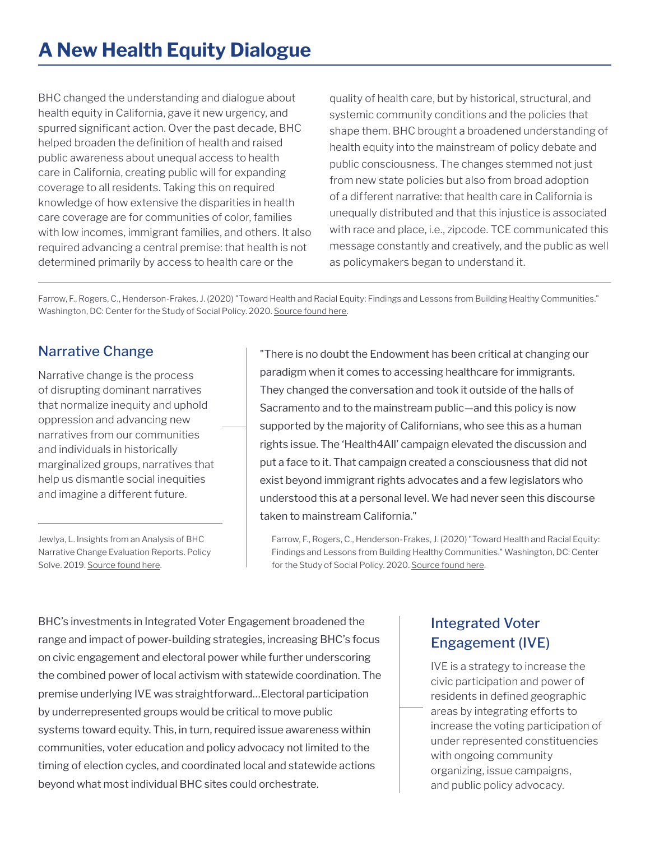BHC changed the understanding and dialogue about health equity in California, gave it new urgency, and spurred significant action. Over the past decade, BHC helped broaden the definition of health and raised public awareness about unequal access to health care in California, creating public will for expanding coverage to all residents. Taking this on required knowledge of how extensive the disparities in health care coverage are for communities of color, families with low incomes, immigrant families, and others. It also required advancing a central premise: that health is not determined primarily by access to health care or the

quality of health care, but by historical, structural, and systemic community conditions and the policies that shape them. BHC brought a broadened understanding of health equity into the mainstream of policy debate and public consciousness. The changes stemmed not just from new state policies but also from broad adoption of a different narrative: that health care in California is unequally distributed and that this injustice is associated with race and place, i.e., zipcode. TCE communicated this message constantly and creatively, and the public as well as policymakers began to understand it.

Farrow, F., Rogers, C., Henderson-Frakes, J. (2020) "Toward Health and Racial Equity: Findings and Lessons from Building Healthy Communities." Washington, DC: Center for the Study of Social Policy. 2020. [Source found here.](https://www.calendow.org/app/uploads/2021/03/Toward-Health-and-Racial-Equity-FULL-REPORT-.pdf)

# Narrative Change

Narrative change is the process of disrupting dominant narratives that normalize inequity and uphold oppression and advancing new narratives from our communities and individuals in historically marginalized groups, narratives that help us dismantle social inequities and imagine a different future.

Jewlya, L. Insights from an Analysis of BHC Narrative Change Evaluation Reports. Policy Solve. 2019. [Source found here.](https://drive.google.com/file/d/15_Wwgh_JQvZuLnDNi70O-bwQlBIGcvQI/view)

"There is no doubt the Endowment has been critical at changing our paradigm when it comes to accessing healthcare for immigrants. They changed the conversation and took it outside of the halls of Sacramento and to the mainstream public—and this policy is now supported by the majority of Californians, who see this as a human rights issue. The 'Health4All' campaign elevated the discussion and put a face to it. That campaign created a consciousness that did not exist beyond immigrant rights advocates and a few legislators who understood this at a personal level. We had never seen this discourse taken to mainstream California."

Farrow, F., Rogers, C., Henderson-Frakes, J. (2020) "Toward Health and Racial Equity: Findings and Lessons from Building Healthy Communities." Washington, DC: Center for the Study of Social Policy. 2020. [Source found here](https://www.calendow.org/app/uploads/2021/03/Toward-Health-and-Racial-Equity-FULL-REPORT-.pdf).

BHC's investments in Integrated Voter Engagement broadened the range and impact of power-building strategies, increasing BHC's focus on civic engagement and electoral power while further underscoring the combined power of local activism with statewide coordination. The premise underlying IVE was straightforward…Electoral participation by underrepresented groups would be critical to move public systems toward equity. This, in turn, required issue awareness within communities, voter education and policy advocacy not limited to the timing of election cycles, and coordinated local and statewide actions beyond what most individual BHC sites could orchestrate.

# Integrated Voter Engagement (IVE)

IVE is a strategy to increase the civic participation and power of residents in defined geographic areas by integrating efforts to increase the voting participation of under represented constituencies with ongoing community organizing, issue campaigns, and public policy advocacy.